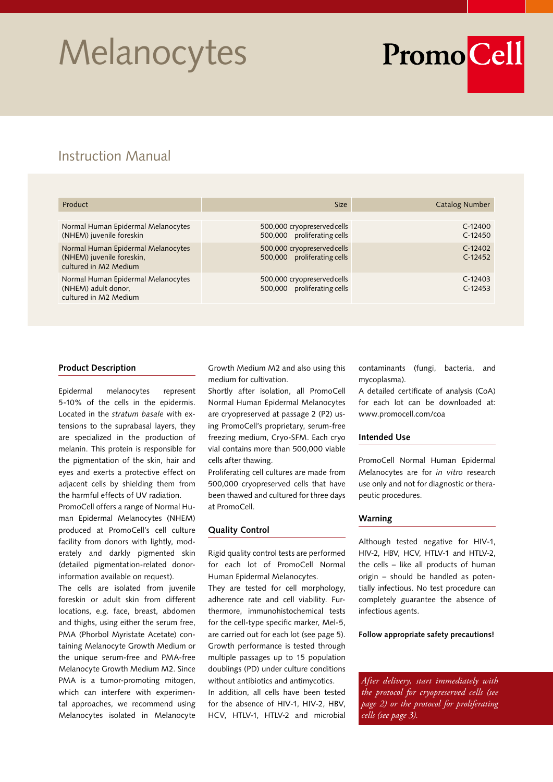## **Melanocytes**

# PromoCell

### Instruction Manual

| Product                                                                                  | <b>Size</b>                                                | <b>Catalog Number</b>  |
|------------------------------------------------------------------------------------------|------------------------------------------------------------|------------------------|
|                                                                                          |                                                            |                        |
| Normal Human Epidermal Melanocytes<br>(NHEM) juvenile foreskin                           | 500,000 cryopreserved cells<br>500,000 proliferating cells | $C-12400$<br>$C-12450$ |
| Normal Human Epidermal Melanocytes<br>(NHEM) juvenile foreskin,<br>cultured in M2 Medium | 500,000 cryopreserved cells<br>500,000 proliferating cells | $C-12402$<br>$C-12452$ |
| Normal Human Epidermal Melanocytes<br>(NHEM) adult donor,<br>cultured in M2 Medium       | 500,000 cryopreserved cells<br>500,000 proliferating cells | $C-12403$<br>$C-12453$ |

#### **Product Description**

Epidermal melanocytes represent 5-10% of the cells in the epidermis. Located in the *stratum basale* with extensions to the suprabasal layers, they are specialized in the production of melanin. This protein is responsible for the pigmentation of the skin, hair and eyes and exerts a protective effect on adjacent cells by shielding them from the harmful effects of UV radiation.

PromoCell offers a range of Normal Human Epidermal Melanocytes (NHEM) produced at PromoCell's cell culture facility from donors with lightly, moderately and darkly pigmented skin (detailed pigmentation-related donorinformation available on request).

The cells are isolated from juvenile foreskin or adult skin from different locations, e.g. face, breast, abdomen and thighs, using either the serum free, PMA (Phorbol Myristate Acetate) containing Melanocyte Growth Medium or the unique serum-free and PMA-free Melanocyte Growth Medium M2. Since PMA is a tumor-promoting mitogen, which can interfere with experimental approaches, we recommend using Melanocytes isolated in Melanocyte Growth Medium M2 and also using this medium for cultivation.

Shortly after isolation, all PromoCell Normal Human Epidermal Melanocytes are cryopreserved at passage 2 (P2) using PromoCell's proprietary, serum-free freezing medium, Cryo-SFM. Each cryo vial contains more than 500,000 viable cells after thawing.

Proliferating cell cultures are made from 500,000 cryopreserved cells that have been thawed and cultured for three days at PromoCell.

#### **Quality Control**

Rigid quality control tests are performed for each lot of PromoCell Normal Human Epidermal Melanocytes.

They are tested for cell morphology, adherence rate and cell viability. Furthermore, immunohistochemical tests for the cell-type specific marker, Mel-5, are carried out for each lot (see page 5). Growth performance is tested through multiple passages up to 15 population doublings (PD) under culture conditions without antibiotics and antimycotics. In addition, all cells have been tested

for the absence of HIV-1, HIV-2, HBV, HCV, HTLV-1, HTLV-2 and microbial contaminants (fungi, bacteria, and mycoplasma).

A detailed certificate of analysis (CoA) for each lot can be downloaded at: www.promocell.com/coa

#### **Intended Use**

PromoCell Normal Human Epidermal Melanocytes are for *in vitro* research use only and not for diagnostic or therapeutic procedures.

#### **Warning**

Although tested negative for HIV-1, HIV-2, HBV, HCV, HTLV-1 and HTLV-2, the cells – like all products of human origin – should be handled as potentially infectious. No test procedure can completely guarantee the absence of infectious agents.

**Follow appropriate safety precautions!**

*After delivery, start immediately with the protocol for cryopreserved cells (see page 2) or the protocol for proliferating cells (see page 3).*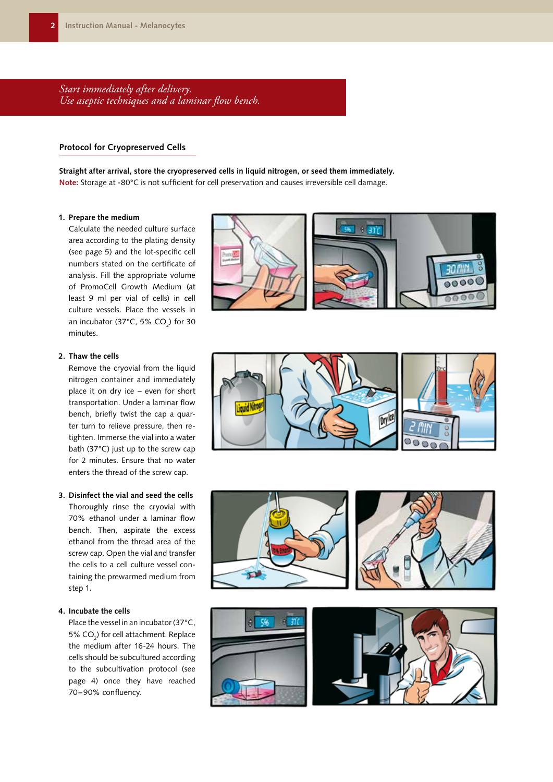*Start immediately after delivery. Use aseptic techniques and a laminar flow bench.*

#### **Protocol for Cryopreserved Cells**

**Straight after arrival, store the cryopreserved cells in liquid nitrogen, or seed them immediately. Note:** Storage at -80°C is not sufficient for cell preservation and causes irreversible cell damage.

#### **1. Prepare the medium**

Calculate the needed culture surface area according to the plating density (see page 5) and the lot-specific cell numbers stated on the certificate of analysis. Fill the appropriate volume of PromoCell Growth Medium (at least 9 ml per vial of cells) in cell culture vessels. Place the vessels in an incubator (37°C, 5% CO<sub>2</sub>) for 30 minutes.

#### **2. Thaw the cells**

Remove the cryovial from the liquid nitrogen container and immediately place it on dry ice – even for short transportation. Under a laminar flow bench, briefly twist the cap a quarter turn to relieve pressure, then retighten. Immerse the vial into a water bath (37°C) just up to the screw cap for 2 minutes. Ensure that no water enters the thread of the screw cap.

#### **3. Disinfect the vial and seed the cells**

Thoroughly rinse the cryovial with 70% ethanol under a laminar flow bench. Then, aspirate the excess ethanol from the thread area of the screw cap. Open the vial and transfer the cells to a cell culture vessel containing the prewarmed medium from step 1.

#### **4. Incubate the cells**

Place the vessel in an incubator (37°C, 5% CO<sub>2</sub>) for cell attachment. Replace the medium after 16-24 hours. The cells should be subcultured according to the subcultivation protocol (see page 4) once they have reached 70–90% confluency.









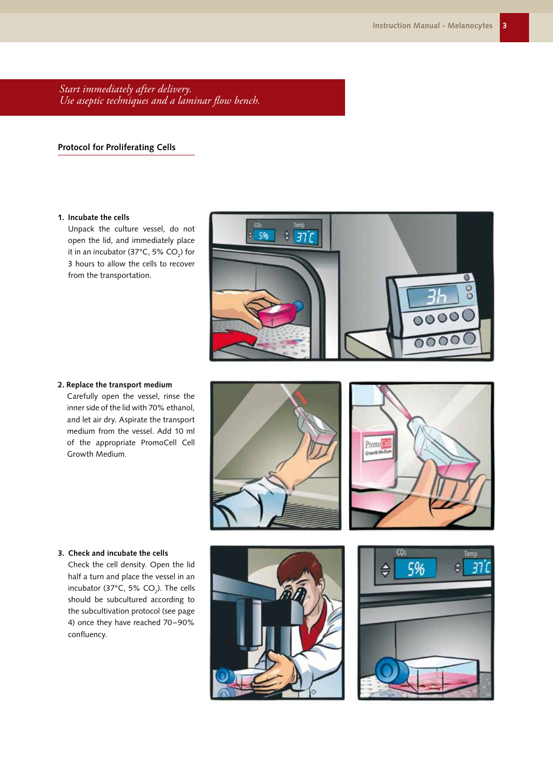*Start immediately after delivery. Use aseptic techniques and a laminar flow bench.*

#### **Protocol for Proliferating Cells**

#### **1. Incubate the cells**

Unpack the culture vessel, do not open the lid, and immediately place it in an incubator (37°C, 5% CO $_2$ ) for 3 hours to allow the cells to recover from the transportation.



#### **2. Replace the transport medium**

Carefully open the vessel, rinse the inner side of the lid with 70% ethanol, and let air dry. Aspirate the transport medium from the vessel. Add 10 ml of the appropriate PromoCell Cell Growth Medium.





#### **3. Check and incubate the cells**

Check the cell density. Open the lid half a turn and place the vessel in an incubator (37°C, 5% CO<sub>2</sub>). The cells should be subcultured according to the subcultivation protocol (see page 4) once they have reached 70–90% confluency.



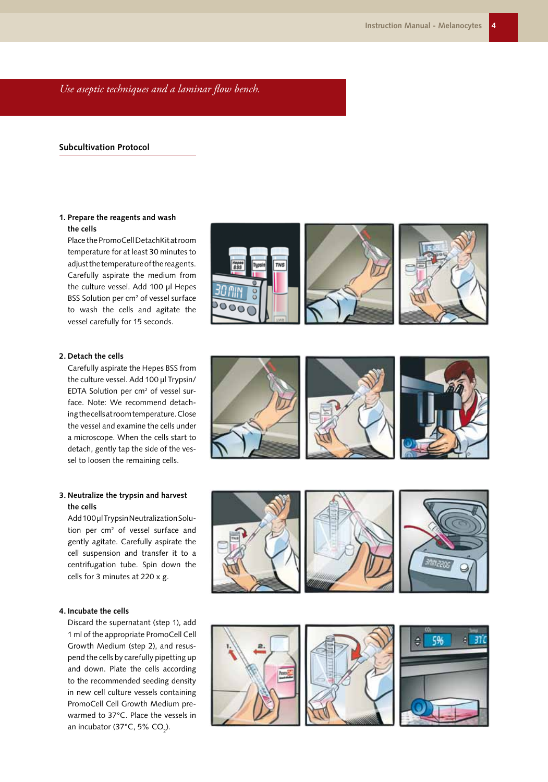*Use aseptic techniques and a laminar flow bench.*

#### **Subcultivation Protocol**

#### **1. Prepare the reagents and wash the cells**

Place the PromoCell DetachKit at room temperature for at least 30 minutes to adjust the temperature of the reagents. Carefully aspirate the medium from the culture vessel. Add 100 µl Hepes BSS Solution per cm<sup>2</sup> of vessel surface to wash the cells and agitate the vessel carefully for 15 seconds.



Carefully aspirate the Hepes BSS from the culture vessel. Add 100 µl Trypsin/ EDTA Solution per cm<sup>2</sup> of vessel surface. Note: We recommend detaching the cells at room temperature. Close the vessel and examine the cells under a microscope. When the cells start to detach, gently tap the side of the vessel to loosen the remaining cells.

#### **3. Neutralize the trypsin and harvest the cells**

Add 100 µl Trypsin Neutralization Solution per cm<sup>2</sup> of vessel surface and gently agitate. Carefully aspirate the cell suspension and transfer it to a centrifugation tube. Spin down the cells for 3 minutes at 220 x g.

#### **4. Incubate the cells**

Discard the supernatant (step 1), add 1 ml of the appropriate PromoCell Cell Growth Medium (step 2), and resuspend the cells by carefully pipetting up and down. Plate the cells according to the recommended seeding density in new cell culture vessels containing PromoCell Cell Growth Medium prewarmed to 37°C. Place the vessels in an incubator (37°C, 5% CO $_2$ ).









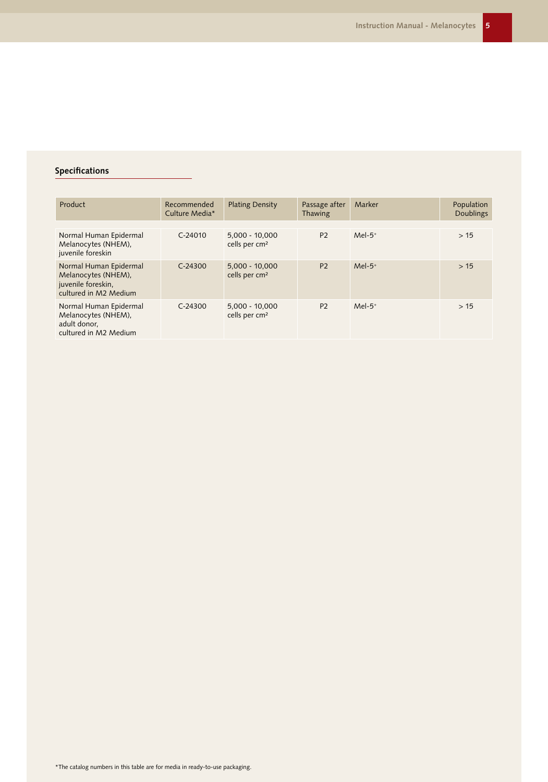#### **Specifications**

| Product                                                                                      | Recommended<br>Culture Media* | <b>Plating Density</b>                        | Passage after<br>Thawing | Marker    | Population<br><b>Doublings</b> |
|----------------------------------------------------------------------------------------------|-------------------------------|-----------------------------------------------|--------------------------|-----------|--------------------------------|
|                                                                                              |                               |                                               |                          |           |                                |
| Normal Human Epidermal<br>Melanocytes (NHEM),<br>juvenile foreskin                           | $C - 24010$                   | $5.000 - 10.000$<br>cells per cm <sup>2</sup> | <b>P2</b>                | $Mel-5+$  | >15                            |
| Normal Human Epidermal<br>Melanocytes (NHEM).<br>juvenile foreskin,<br>cultured in M2 Medium | $C-24300$                     | $5,000 - 10,000$<br>cells per cm <sup>2</sup> | <b>P2</b>                | $Mel-5+$  | >15                            |
| Normal Human Epidermal<br>Melanocytes (NHEM),<br>adult donor,<br>cultured in M2 Medium       | $C-24300$                     | $5,000 - 10,000$<br>cells per cm <sup>2</sup> | P <sub>2</sub>           | $Mel-5^+$ | >15                            |